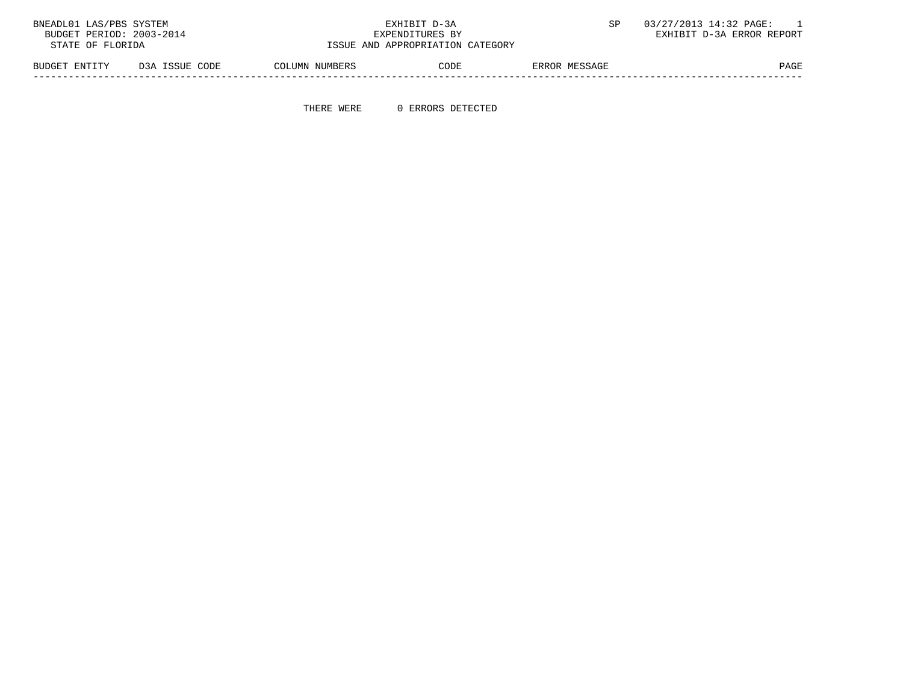| BNEADL01 LAS/PBS SYSTEM  |                |                | EXHIBIT D-3A                     |               | 03/27/2013 14:32 PAGE:    |
|--------------------------|----------------|----------------|----------------------------------|---------------|---------------------------|
| BUDGET PERIOD: 2003-2014 |                |                | EXPENDITURES BY                  |               | EXHIBIT D-3A ERROR REPORT |
| STATE OF FLORIDA         |                |                | ISSUE AND APPROPRIATION CATEGORY |               |                           |
| BUDGET ENTITY            | D3A ISSUE CODE | COLUMN NUMBERS | CODE                             | ERROR MESSAGE | PAGE                      |

THERE WERE 0 ERRORS DETECTED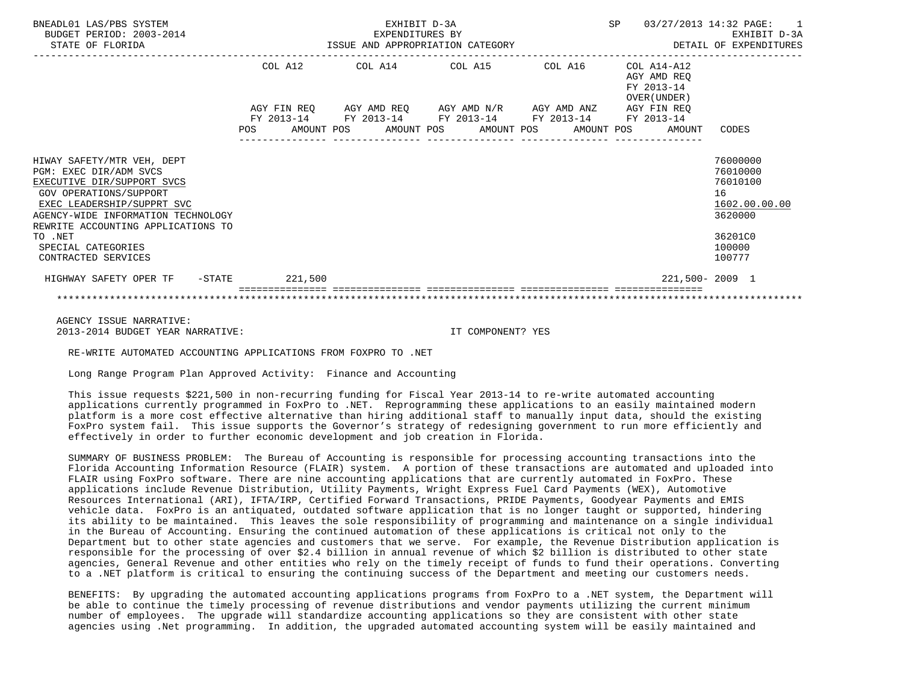| BNEADL01 LAS/PBS SYSTEM<br>BUDGET PERIOD: 2003-2014<br>STATE OF FLORIDA                                                                                                                                                                                                        | EXHIBIT D-3A<br>EXPENDITURES BY<br>ISSUE AND APPROPRIATION CATEGORY |  |                                                                                                                       |  |  |  |  | SP 03/27/2013 14:32 PAGE: 1<br>EXHIBIT D-3A<br>DETAIL OF EXPENDITURES |                                                                                                   |
|--------------------------------------------------------------------------------------------------------------------------------------------------------------------------------------------------------------------------------------------------------------------------------|---------------------------------------------------------------------|--|-----------------------------------------------------------------------------------------------------------------------|--|--|--|--|-----------------------------------------------------------------------|---------------------------------------------------------------------------------------------------|
|                                                                                                                                                                                                                                                                                | COL A12                                                             |  | $COL A14$ $COL A15$ $COL A16$ $COL A14-A12$                                                                           |  |  |  |  | AGY AMD REO<br>FY 2013-14<br>OVER (UNDER)                             |                                                                                                   |
|                                                                                                                                                                                                                                                                                | POS AMOUNT POS AMOUNT POS AMOUNT POS AMOUNT POS AMOUNT CODES        |  | AGY FIN REQ AGY AMD REQ AGY AMD N/R AGY AMD ANZ AGY FIN REQ<br>FY 2013-14 FY 2013-14 FY 2013-14 FY 2013-14 FY 2013-14 |  |  |  |  |                                                                       |                                                                                                   |
| HIWAY SAFETY/MTR VEH, DEPT<br>PGM: EXEC DIR/ADM SVCS<br>EXECUTIVE DIR/SUPPORT SVCS<br>GOV OPERATIONS/SUPPORT<br>EXEC LEADERSHIP/SUPPRT SVC<br>AGENCY-WIDE INFORMATION TECHNOLOGY<br>REWRITE ACCOUNTING APPLICATIONS TO<br>TO .NET<br>SPECIAL CATEGORIES<br>CONTRACTED SERVICES |                                                                     |  |                                                                                                                       |  |  |  |  |                                                                       | 76000000<br>76010000<br>76010100<br>16<br>1602.00.00.00<br>3620000<br>36201C0<br>100000<br>100777 |
| HIGHWAY SAFETY OPER TF -STATE 221,500                                                                                                                                                                                                                                          |                                                                     |  |                                                                                                                       |  |  |  |  |                                                                       | 221,500-2009 1                                                                                    |
|                                                                                                                                                                                                                                                                                |                                                                     |  |                                                                                                                       |  |  |  |  |                                                                       |                                                                                                   |

 AGENCY ISSUE NARRATIVE: 2013-2014 BUDGET YEAR NARRATIVE: IT COMPONENT? YES

RE-WRITE AUTOMATED ACCOUNTING APPLICATIONS FROM FOXPRO TO .NET

Long Range Program Plan Approved Activity: Finance and Accounting

 This issue requests \$221,500 in non-recurring funding for Fiscal Year 2013-14 to re-write automated accounting applications currently programmed in FoxPro to .NET. Reprogramming these applications to an easily maintained modern platform is a more cost effective alternative than hiring additional staff to manually input data, should the existing FoxPro system fail. This issue supports the Governor's strategy of redesigning government to run more efficiently and effectively in order to further economic development and job creation in Florida.

 SUMMARY OF BUSINESS PROBLEM: The Bureau of Accounting is responsible for processing accounting transactions into the Florida Accounting Information Resource (FLAIR) system. A portion of these transactions are automated and uploaded into FLAIR using FoxPro software. There are nine accounting applications that are currently automated in FoxPro. These applications include Revenue Distribution, Utility Payments, Wright Express Fuel Card Payments (WEX), Automotive Resources International (ARI), IFTA/IRP, Certified Forward Transactions, PRIDE Payments, Goodyear Payments and EMIS vehicle data. FoxPro is an antiquated, outdated software application that is no longer taught or supported, hindering its ability to be maintained. This leaves the sole responsibility of programming and maintenance on a single individual in the Bureau of Accounting. Ensuring the continued automation of these applications is critical not only to the Department but to other state agencies and customers that we serve. For example, the Revenue Distribution application is responsible for the processing of over \$2.4 billion in annual revenue of which \$2 billion is distributed to other state agencies, General Revenue and other entities who rely on the timely receipt of funds to fund their operations. Converting to a .NET platform is critical to ensuring the continuing success of the Department and meeting our customers needs.

 BENEFITS: By upgrading the automated accounting applications programs from FoxPro to a .NET system, the Department will be able to continue the timely processing of revenue distributions and vendor payments utilizing the current minimum number of employees. The upgrade will standardize accounting applications so they are consistent with other state agencies using .Net programming. In addition, the upgraded automated accounting system will be easily maintained and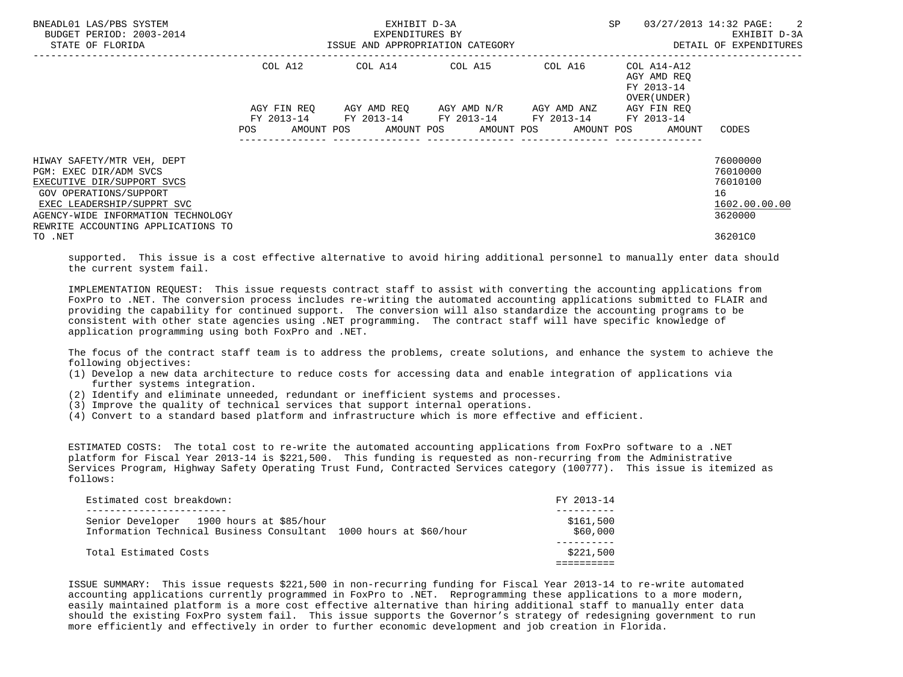| BNEADL01 LAS/PBS SYSTEM<br>BUDGET PERIOD: 2003-2014<br>STATE OF FLORIDA                                                          |             | EXHIBIT D-3A<br>EXPENDITURES BY<br>ISSUE AND APPROPRIATION CATEGORY                                          | <b>SP</b>                                       | 03/27/2013 14:32 PAGE: 2<br>EXHIBIT D-3A<br>DETAIL OF EXPENDITURES |                                                          |                                |
|----------------------------------------------------------------------------------------------------------------------------------|-------------|--------------------------------------------------------------------------------------------------------------|-------------------------------------------------|--------------------------------------------------------------------|----------------------------------------------------------|--------------------------------|
|                                                                                                                                  | COL A12     | COL A14 COL A15                                                                                              |                                                 | COL A16                                                            | COL A14-A12<br>AGY AMD REO<br>FY 2013-14<br>OVER (UNDER) |                                |
|                                                                                                                                  | AGY FIN REO | FY 2013-14 FY 2013-14 FY 2013-14 FY 2013-14 FY 2013-14<br>AMOUNT POS AMOUNT POS AMOUNT POS AMOUNT POS AMOUNT | AGY AMD REQ       AGY AMD N/R       AGY AMD ANZ |                                                                    | AGY FIN REO                                              | CODES                          |
|                                                                                                                                  |             |                                                                                                              |                                                 |                                                                    |                                                          |                                |
| HIWAY SAFETY/MTR VEH, DEPT                                                                                                       |             |                                                                                                              |                                                 |                                                                    |                                                          | 76000000<br>76010000           |
| PGM: EXEC DIR/ADM SVCS<br>EXECUTIVE DIR/SUPPORT SVCS                                                                             |             |                                                                                                              |                                                 |                                                                    |                                                          | 76010100                       |
| GOV OPERATIONS/SUPPORT<br>EXEC LEADERSHIP/SUPPRT SVC<br>AGENCY-WIDE INFORMATION TECHNOLOGY<br>REWRITE ACCOUNTING APPLICATIONS TO |             |                                                                                                              |                                                 |                                                                    |                                                          | 16<br>1602.00.00.00<br>3620000 |
| TO .NET                                                                                                                          |             |                                                                                                              |                                                 |                                                                    |                                                          | 36201C0                        |

 supported. This issue is a cost effective alternative to avoid hiring additional personnel to manually enter data should the current system fail.

 IMPLEMENTATION REQUEST: This issue requests contract staff to assist with converting the accounting applications from FoxPro to .NET. The conversion process includes re-writing the automated accounting applications submitted to FLAIR and providing the capability for continued support. The conversion will also standardize the accounting programs to be consistent with other state agencies using .NET programming. The contract staff will have specific knowledge of application programming using both FoxPro and .NET.

 The focus of the contract staff team is to address the problems, create solutions, and enhance the system to achieve the following objectives:

- (1) Develop a new data architecture to reduce costs for accessing data and enable integration of applications via further systems integration.
- (2) Identify and eliminate unneeded, redundant or inefficient systems and processes.
- (3) Improve the quality of technical services that support internal operations.
- (4) Convert to a standard based platform and infrastructure which is more effective and efficient.

 ESTIMATED COSTS: The total cost to re-write the automated accounting applications from FoxPro software to a .NET platform for Fiscal Year 2013-14 is \$221,500. This funding is requested as non-recurring from the Administrative Services Program, Highway Safety Operating Trust Fund, Contracted Services category (100777). This issue is itemized as follows:

| Estimated cost breakdown:                                         | FY 2013-14 |
|-------------------------------------------------------------------|------------|
|                                                                   |            |
| Senior Developer 1900 hours at \$85/hour                          | \$161,500  |
| Information Technical Business Consultant 1000 hours at \$60/hour | \$60,000   |
|                                                                   |            |
| Total Estimated Costs                                             | \$221,500  |
|                                                                   |            |

 ISSUE SUMMARY: This issue requests \$221,500 in non-recurring funding for Fiscal Year 2013-14 to re-write automated accounting applications currently programmed in FoxPro to .NET. Reprogramming these applications to a more modern, easily maintained platform is a more cost effective alternative than hiring additional staff to manually enter data should the existing FoxPro system fail. This issue supports the Governor's strategy of redesigning government to run more efficiently and effectively in order to further economic development and job creation in Florida.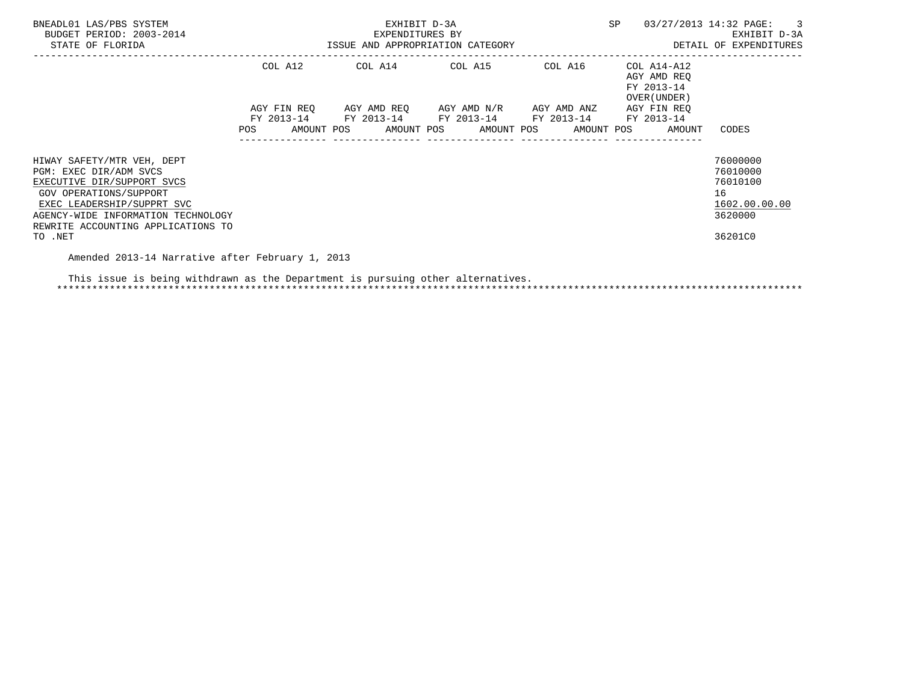| BNEADL01 LAS/PBS SYSTEM<br>BUDGET PERIOD: 2003-2014<br>STATE OF FLORIDA                                                                                                                                                           |                    | EXPENDITURES BY | EXHIBIT D-3A<br>ISSUE AND APPROPRIATION CATEGORY                                                                                             |         | <b>SP</b>                                                | 03/27/2013 14:32 PAGE: 3<br>EXHIBIT D-3A<br>DETAIL OF EXPENDITURES            |
|-----------------------------------------------------------------------------------------------------------------------------------------------------------------------------------------------------------------------------------|--------------------|-----------------|----------------------------------------------------------------------------------------------------------------------------------------------|---------|----------------------------------------------------------|-------------------------------------------------------------------------------|
|                                                                                                                                                                                                                                   |                    |                 | COL A12 COL A14 COL A15                                                                                                                      | COL A16 | COL A14-A12<br>AGY AMD REO<br>FY 2013-14<br>OVER (UNDER) |                                                                               |
|                                                                                                                                                                                                                                   | AGY FIN REO<br>POS |                 | AGY AMD REO AGY AMD N/R AGY AMD ANZ<br>FY 2013-14 FY 2013-14 FY 2013-14 FY 2013-14 FY 2013-14<br>AMOUNT POS AMOUNT POS AMOUNT POS AMOUNT POS |         | AGY FIN REO<br>AMOUNT                                    | CODES                                                                         |
| HIWAY SAFETY/MTR VEH, DEPT<br>PGM: EXEC DIR/ADM SVCS<br>EXECUTIVE DIR/SUPPORT SVCS<br>GOV OPERATIONS/SUPPORT<br>EXEC LEADERSHIP/SUPPRT SVC<br>AGENCY-WIDE INFORMATION TECHNOLOGY<br>REWRITE ACCOUNTING APPLICATIONS TO<br>TO .NET |                    |                 |                                                                                                                                              |         |                                                          | 76000000<br>76010000<br>76010100<br>16<br>1602.00.00.00<br>3620000<br>36201C0 |

Amended 2013-14 Narrative after February 1, 2013

 This issue is being withdrawn as the Department is pursuing other alternatives. \*\*\*\*\*\*\*\*\*\*\*\*\*\*\*\*\*\*\*\*\*\*\*\*\*\*\*\*\*\*\*\*\*\*\*\*\*\*\*\*\*\*\*\*\*\*\*\*\*\*\*\*\*\*\*\*\*\*\*\*\*\*\*\*\*\*\*\*\*\*\*\*\*\*\*\*\*\*\*\*\*\*\*\*\*\*\*\*\*\*\*\*\*\*\*\*\*\*\*\*\*\*\*\*\*\*\*\*\*\*\*\*\*\*\*\*\*\*\*\*\*\*\*\*\*\*\*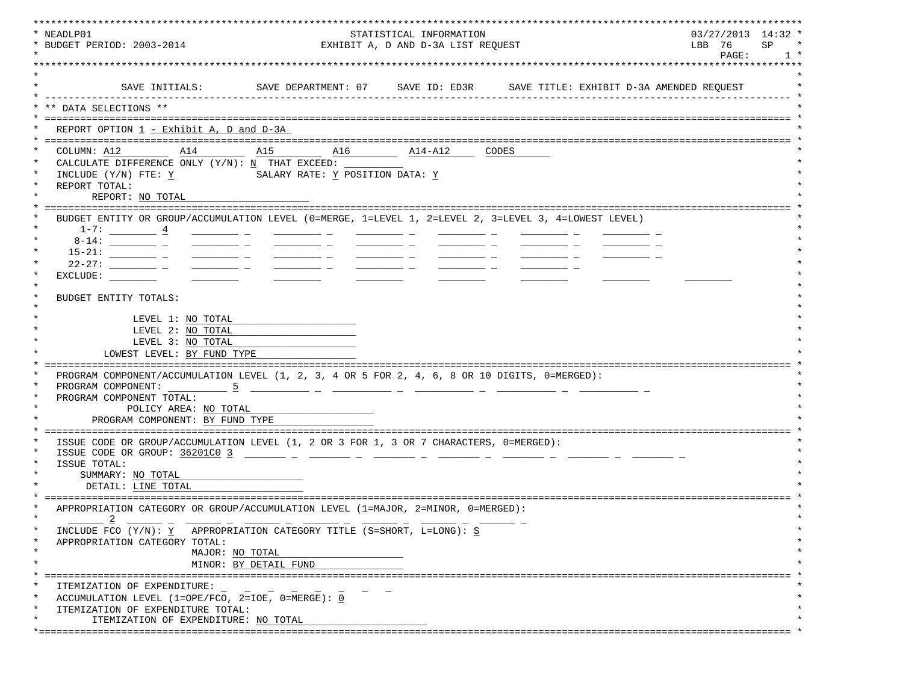| * NEADLP01<br>* BUDGET PERIOD: 2003-2014                                                                                                                                                                                                                                                                                                                                                                                                                                   |                                            | STATISTICAL INFORMATION<br>EXHIBIT A, D AND D-3A LIST REQUEST |  | $03/27/2013$ 14:32 *<br>LBB 76<br>SP |  |  |
|----------------------------------------------------------------------------------------------------------------------------------------------------------------------------------------------------------------------------------------------------------------------------------------------------------------------------------------------------------------------------------------------------------------------------------------------------------------------------|--------------------------------------------|---------------------------------------------------------------|--|--------------------------------------|--|--|
|                                                                                                                                                                                                                                                                                                                                                                                                                                                                            |                                            |                                                               |  |                                      |  |  |
|                                                                                                                                                                                                                                                                                                                                                                                                                                                                            |                                            |                                                               |  |                                      |  |  |
| SAVE INITIALS:                                                                                                                                                                                                                                                                                                                                                                                                                                                             |                                            |                                                               |  |                                      |  |  |
| ** DATA SELECTIONS **                                                                                                                                                                                                                                                                                                                                                                                                                                                      |                                            |                                                               |  |                                      |  |  |
| REPORT OPTION 1 - Exhibit A, D and D-3A                                                                                                                                                                                                                                                                                                                                                                                                                                    |                                            |                                                               |  |                                      |  |  |
|                                                                                                                                                                                                                                                                                                                                                                                                                                                                            |                                            |                                                               |  |                                      |  |  |
| COLUMN: A12<br>A14                                                                                                                                                                                                                                                                                                                                                                                                                                                         | A15 A16                                    | $\overline{\text{A14-A12}}$ CODES                             |  |                                      |  |  |
| CALCULATE DIFFERENCE ONLY $(Y/N): N$ THAT EXCEED:<br>INCLUDE (Y/N) FTE: Y<br>REPORT TOTAL:<br>REPORT: NO TOTAL                                                                                                                                                                                                                                                                                                                                                             | SALARY RATE: Y POSITION DATA: Y            |                                                               |  |                                      |  |  |
|                                                                                                                                                                                                                                                                                                                                                                                                                                                                            |                                            |                                                               |  |                                      |  |  |
| BUDGET ENTITY OR GROUP/ACCUMULATION LEVEL (0=MERGE, 1=LEVEL 1, 2=LEVEL 2, 3=LEVEL 3, 4=LOWEST LEVEL)                                                                                                                                                                                                                                                                                                                                                                       |                                            |                                                               |  |                                      |  |  |
| $1-7:$ $4$                                                                                                                                                                                                                                                                                                                                                                                                                                                                 |                                            |                                                               |  |                                      |  |  |
|                                                                                                                                                                                                                                                                                                                                                                                                                                                                            |                                            |                                                               |  |                                      |  |  |
| $\frac{1}{2} \left( \frac{1}{2} \right) \left( \frac{1}{2} \right) \left( \frac{1}{2} \right) \left( \frac{1}{2} \right) \left( \frac{1}{2} \right) \left( \frac{1}{2} \right) \left( \frac{1}{2} \right) \left( \frac{1}{2} \right) \left( \frac{1}{2} \right) \left( \frac{1}{2} \right) \left( \frac{1}{2} \right) \left( \frac{1}{2} \right) \left( \frac{1}{2} \right) \left( \frac{1}{2} \right) \left( \frac{1}{2} \right) \left( \frac{1}{2} \right) \left( \frac$ |                                            |                                                               |  |                                      |  |  |
|                                                                                                                                                                                                                                                                                                                                                                                                                                                                            | <u> Albanya (Albanya Albanya)</u>          |                                                               |  |                                      |  |  |
| EXCLUDE:                                                                                                                                                                                                                                                                                                                                                                                                                                                                   |                                            |                                                               |  |                                      |  |  |
| BUDGET ENTITY TOTALS:                                                                                                                                                                                                                                                                                                                                                                                                                                                      |                                            |                                                               |  |                                      |  |  |
|                                                                                                                                                                                                                                                                                                                                                                                                                                                                            |                                            |                                                               |  |                                      |  |  |
| LEVEL 1: NO TOTAL                                                                                                                                                                                                                                                                                                                                                                                                                                                          |                                            |                                                               |  |                                      |  |  |
| LEVEL 2: NO TOTAL                                                                                                                                                                                                                                                                                                                                                                                                                                                          |                                            |                                                               |  |                                      |  |  |
| LEVEL 3: NO TOTAL                                                                                                                                                                                                                                                                                                                                                                                                                                                          |                                            |                                                               |  |                                      |  |  |
| LOWEST LEVEL: BY FUND TYPE                                                                                                                                                                                                                                                                                                                                                                                                                                                 |                                            |                                                               |  |                                      |  |  |
|                                                                                                                                                                                                                                                                                                                                                                                                                                                                            |                                            |                                                               |  |                                      |  |  |
| PROGRAM COMPONENT/ACCUMULATION LEVEL (1, 2, 3, 4 OR 5 FOR 2, 4, 6, 8 OR 10 DIGITS, 0=MERGED):<br>PROGRAM COMPONENT: 5                                                                                                                                                                                                                                                                                                                                                      |                                            |                                                               |  |                                      |  |  |
| PROGRAM COMPONENT TOTAL:                                                                                                                                                                                                                                                                                                                                                                                                                                                   |                                            |                                                               |  |                                      |  |  |
| POLICY AREA: NO TOTAL                                                                                                                                                                                                                                                                                                                                                                                                                                                      |                                            |                                                               |  |                                      |  |  |
| PROGRAM COMPONENT: BY FUND TYPE                                                                                                                                                                                                                                                                                                                                                                                                                                            |                                            |                                                               |  |                                      |  |  |
|                                                                                                                                                                                                                                                                                                                                                                                                                                                                            |                                            |                                                               |  |                                      |  |  |
| ISSUE CODE OR GROUP/ACCUMULATION LEVEL (1, 2 OR 3 FOR 1, 3 OR 7 CHARACTERS, 0=MERGED):                                                                                                                                                                                                                                                                                                                                                                                     |                                            |                                                               |  |                                      |  |  |
| ISSUE CODE OR GROUP: 36201C0 3<br>ISSUE TOTAL:                                                                                                                                                                                                                                                                                                                                                                                                                             | <u> 1999 - Johann Brand, mars et al. (</u> |                                                               |  |                                      |  |  |
| SUMMARY: NO TOTAL                                                                                                                                                                                                                                                                                                                                                                                                                                                          |                                            |                                                               |  |                                      |  |  |
| DETAIL: LINE TOTAL                                                                                                                                                                                                                                                                                                                                                                                                                                                         |                                            |                                                               |  |                                      |  |  |
|                                                                                                                                                                                                                                                                                                                                                                                                                                                                            |                                            |                                                               |  |                                      |  |  |
| APPROPRIATION CATEGORY OR GROUP/ACCUMULATION LEVEL (1=MAJOR, 2=MINOR, 0=MERGED):                                                                                                                                                                                                                                                                                                                                                                                           |                                            |                                                               |  |                                      |  |  |
| $\overline{\phantom{0}}^2$                                                                                                                                                                                                                                                                                                                                                                                                                                                 |                                            |                                                               |  |                                      |  |  |
| INCLUDE FCO (Y/N): Y APPROPRIATION CATEGORY TITLE (S=SHORT, L=LONG): S                                                                                                                                                                                                                                                                                                                                                                                                     |                                            |                                                               |  |                                      |  |  |
| APPROPRIATION CATEGORY TOTAL:                                                                                                                                                                                                                                                                                                                                                                                                                                              |                                            |                                                               |  |                                      |  |  |
| MAJOR: NO TOTAL                                                                                                                                                                                                                                                                                                                                                                                                                                                            |                                            |                                                               |  |                                      |  |  |
|                                                                                                                                                                                                                                                                                                                                                                                                                                                                            | MINOR: BY DETAIL FUND                      |                                                               |  |                                      |  |  |
|                                                                                                                                                                                                                                                                                                                                                                                                                                                                            |                                            |                                                               |  |                                      |  |  |
| ITEMIZATION OF EXPENDITURE:                                                                                                                                                                                                                                                                                                                                                                                                                                                |                                            |                                                               |  |                                      |  |  |
| ACCUMULATION LEVEL (1=OPE/FCO, 2=IOE, $0 = MERGE$ ): 0                                                                                                                                                                                                                                                                                                                                                                                                                     |                                            |                                                               |  |                                      |  |  |
| ITEMIZATION OF EXPENDITURE TOTAL:                                                                                                                                                                                                                                                                                                                                                                                                                                          |                                            |                                                               |  |                                      |  |  |
| ITEMIZATION OF EXPENDITURE: NO TOTAL                                                                                                                                                                                                                                                                                                                                                                                                                                       |                                            |                                                               |  |                                      |  |  |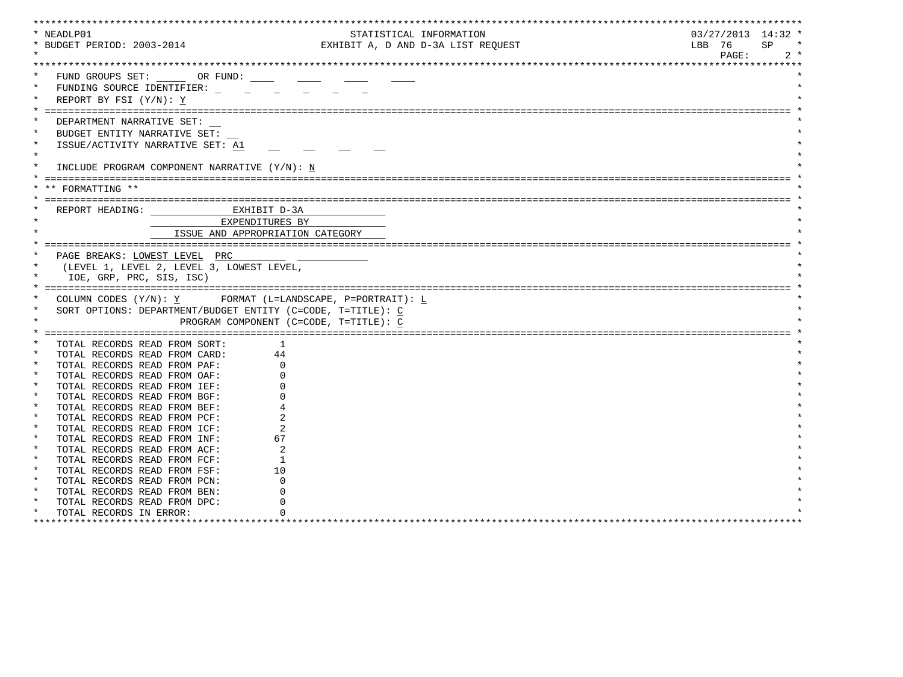| * NEADLP01                        |                                                             | STATISTICAL INFORMATION                                     | $03/27/2013$ 14:32 * |       |
|-----------------------------------|-------------------------------------------------------------|-------------------------------------------------------------|----------------------|-------|
| * BUDGET PERIOD: 2003-2014        |                                                             | EXHIBIT A, D AND D-3A LIST REQUEST                          | LBB 76<br>SP.        |       |
|                                   |                                                             |                                                             | PAGE:                | $2 *$ |
|                                   |                                                             |                                                             |                      |       |
|                                   | FUND GROUPS SET: OR FUND:                                   |                                                             |                      |       |
|                                   | FUNDING SOURCE IDENTIFIER:                                  |                                                             |                      |       |
|                                   |                                                             |                                                             |                      |       |
| REPORT BY FSI $(Y/N): Y$          |                                                             |                                                             |                      |       |
|                                   |                                                             |                                                             |                      |       |
|                                   | DEPARTMENT NARRATIVE SET:                                   |                                                             |                      |       |
| $\ast$                            | BUDGET ENTITY NARRATIVE SET:                                |                                                             |                      |       |
|                                   | ISSUE/ACTIVITY NARRATIVE SET: A1                            |                                                             |                      |       |
| $\star$                           |                                                             |                                                             |                      |       |
|                                   | INCLUDE PROGRAM COMPONENT NARRATIVE (Y/N): N                |                                                             |                      |       |
|                                   |                                                             |                                                             |                      |       |
| FORMATTING **                     |                                                             |                                                             |                      |       |
|                                   |                                                             |                                                             |                      |       |
|                                   |                                                             |                                                             |                      |       |
|                                   | REPORT HEADING: CONTRACTED MANUSCRIPT D-3A                  |                                                             |                      |       |
|                                   | EXPENDITURES BY                                             |                                                             |                      |       |
|                                   |                                                             | ISSUE AND APPROPRIATION CATEGORY                            |                      |       |
|                                   |                                                             |                                                             |                      |       |
|                                   | PAGE BREAKS: LOWEST LEVEL PRC                               |                                                             |                      |       |
|                                   |                                                             |                                                             |                      |       |
|                                   | (LEVEL 1, LEVEL 2, LEVEL 3, LOWEST LEVEL,                   |                                                             |                      |       |
|                                   | IOE, GRP, PRC, SIS, ISC)                                    |                                                             |                      |       |
|                                   |                                                             |                                                             |                      |       |
|                                   |                                                             |                                                             |                      |       |
|                                   |                                                             | COLUMN CODES $(Y/N): Y$ FORMAT (L=LANDSCAPE, P=PORTRAIT): L |                      |       |
|                                   | SORT OPTIONS: DEPARTMENT/BUDGET ENTITY (C=CODE, T=TITLE): C |                                                             |                      |       |
|                                   |                                                             | PROGRAM COMPONENT (C=CODE, T=TITLE): C                      |                      |       |
|                                   |                                                             |                                                             |                      |       |
|                                   | TOTAL RECORDS READ FROM SORT:                               | -1.                                                         |                      |       |
|                                   | TOTAL RECORDS READ FROM CARD:                               | 44                                                          |                      |       |
|                                   | TOTAL RECORDS READ FROM PAF:                                |                                                             |                      |       |
| $\ast$                            | TOTAL RECORDS READ FROM OAF:                                |                                                             |                      |       |
| $\star$                           | TOTAL RECORDS READ FROM IEF:                                |                                                             |                      |       |
| $\star$                           | TOTAL RECORDS READ FROM BGF:                                |                                                             |                      |       |
| $\star$                           | TOTAL RECORDS READ FROM BEF:                                |                                                             |                      |       |
| $\star$                           | TOTAL RECORDS READ FROM PCF:                                |                                                             |                      |       |
| $\ast$                            | TOTAL RECORDS READ FROM ICF:                                |                                                             |                      |       |
| $\star$                           | TOTAL RECORDS READ FROM INF:                                | 67                                                          |                      |       |
| $\star$                           | TOTAL RECORDS READ FROM ACF:                                |                                                             |                      |       |
| $\star$                           | TOTAL RECORDS READ FROM FCF:                                | -1                                                          |                      |       |
| $\star$                           | TOTAL RECORDS READ FROM FSF:                                | 10                                                          |                      |       |
| $\star$                           | TOTAL RECORDS READ FROM PCN:                                |                                                             |                      |       |
|                                   | TOTAL RECORDS READ FROM BEN:                                |                                                             |                      |       |
| $\star$                           | TOTAL RECORDS READ FROM DPC:                                |                                                             |                      |       |
| $\ast$<br>TOTAL RECORDS IN ERROR: |                                                             |                                                             |                      |       |